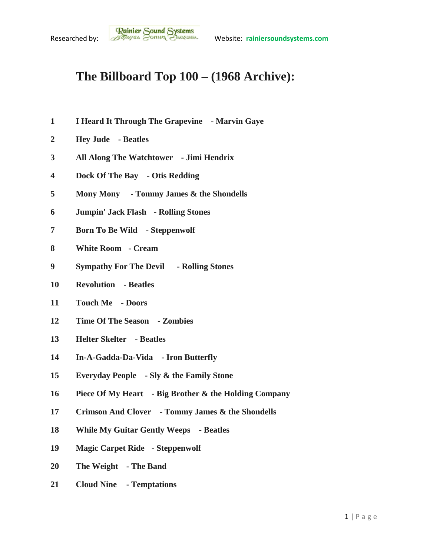## **The Billboard Top 100 – (1968 Archive):**

- **I Heard It Through The Grapevine - Marvin Gaye**
- **Hey Jude - Beatles**
- **All Along The Watchtower - Jimi Hendrix**
- **Dock Of The Bay - Otis Redding**
- **Mony Mony - Tommy James & the Shondells**
- **Jumpin' Jack Flash - Rolling Stones**
- **Born To Be Wild - Steppenwolf**
- **White Room - Cream**
- **Sympathy For The Devil - Rolling Stones**
- **Revolution - Beatles**
- **Touch Me - Doors**
- **Time Of The Season - Zombies**
- **Helter Skelter - Beatles**
- **In-A-Gadda-Da-Vida - Iron Butterfly**
- **Everyday People - Sly & the Family Stone**
- **Piece Of My Heart - Big Brother & the Holding Company**
- **Crimson And Clover - Tommy James & the Shondells**
- **While My Guitar Gently Weeps - Beatles**
- **Magic Carpet Ride - Steppenwolf**
- **The Weight - The Band**
- **Cloud Nine - Temptations**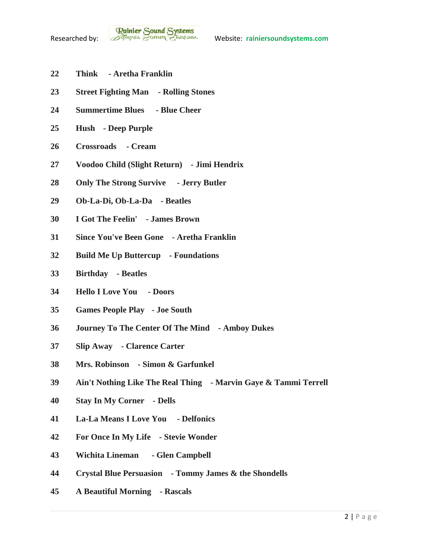- **Think - Aretha Franklin**
- **Street Fighting Man - Rolling Stones**
- **Summertime Blues - Blue Cheer**
- **Hush - Deep Purple**
- **Crossroads - Cream**
- **Voodoo Child (Slight Return) - Jimi Hendrix**
- **Only The Strong Survive - Jerry Butler**
- **Ob-La-Di, Ob-La-Da - Beatles**
- **I Got The Feelin' - James Brown**
- **Since You've Been Gone - Aretha Franklin**
- **Build Me Up Buttercup - Foundations**
- **Birthday - Beatles**
- **Hello I Love You - Doors**
- **Games People Play - Joe South**
- **Journey To The Center Of The Mind - Amboy Dukes**
- **Slip Away - Clarence Carter**
- **Mrs. Robinson - Simon & Garfunkel**
- **Ain't Nothing Like The Real Thing - Marvin Gaye & Tammi Terrell**
- **Stay In My Corner - Dells**
- **La-La Means I Love You - Delfonics**
- **For Once In My Life - Stevie Wonder**
- **Wichita Lineman - Glen Campbell**
- **Crystal Blue Persuasion - Tommy James & the Shondells**
- **A Beautiful Morning - Rascals**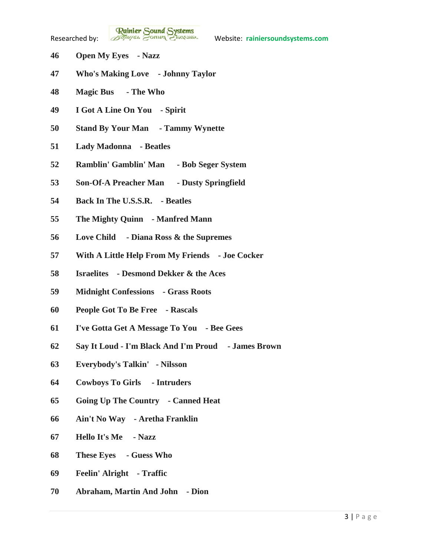**Rainier Sound Systems**<br>Researched by: *Bothuges* Conner Charantee Website: rainiersoundsystems.com

- **Open My Eyes - Nazz**
- **Who's Making Love - Johnny Taylor**
- **Magic Bus - The Who**
- **I Got A Line On You - Spirit**
- **Stand By Your Man - Tammy Wynette**
- **Lady Madonna - Beatles**
- **Ramblin' Gamblin' Man - Bob Seger System**
- **Son-Of-A Preacher Man - Dusty Springfield**
- **Back In The U.S.S.R. - Beatles**
- **The Mighty Quinn - Manfred Mann**
- **Love Child - Diana Ross & the Supremes**
- **With A Little Help From My Friends - Joe Cocker**
- **Israelites - Desmond Dekker & the Aces**
- **Midnight Confessions - Grass Roots**
- **People Got To Be Free - Rascals**
- **I've Gotta Get A Message To You - Bee Gees**
- **Say It Loud - I'm Black And I'm Proud - James Brown**
- **Everybody's Talkin' - Nilsson**
- **Cowboys To Girls - Intruders**
- **Going Up The Country - Canned Heat**
- **Ain't No Way - Aretha Franklin**
- **Hello It's Me - Nazz**
- **These Eyes - Guess Who**
- **Feelin' Alright - Traffic**
- **Abraham, Martin And John - Dion**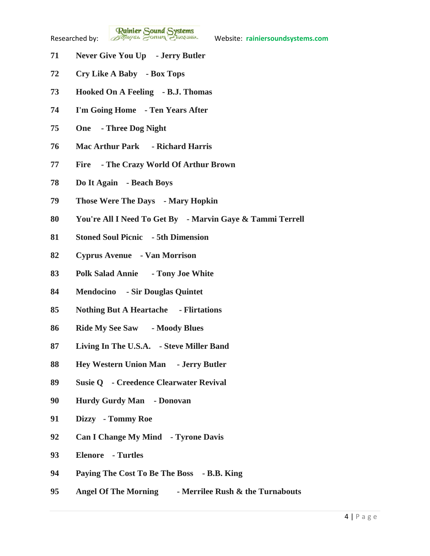**Rainier Sound Systems**<br>Researched by: *Bothuges* Conner Charantee Website: rainiersoundsystems.com

- **Never Give You Up - Jerry Butler**
- **Cry Like A Baby - Box Tops**
- **Hooked On A Feeling - B.J. Thomas**
- **I'm Going Home - Ten Years After**
- **One - Three Dog Night**
- **Mac Arthur Park - Richard Harris**
- **Fire - The Crazy World Of Arthur Brown**
- **Do It Again - Beach Boys**
- **Those Were The Days - Mary Hopkin**
- **You're All I Need To Get By - Marvin Gaye & Tammi Terrell**
- **Stoned Soul Picnic - 5th Dimension**
- **Cyprus Avenue - Van Morrison**
- **Polk Salad Annie - Tony Joe White**
- **Mendocino - Sir Douglas Quintet**
- **Nothing But A Heartache - Flirtations**
- **Ride My See Saw - Moody Blues**
- **Living In The U.S.A. - Steve Miller Band**
- **Hey Western Union Man - Jerry Butler**
- **Susie Q - Creedence Clearwater Revival**
- **Hurdy Gurdy Man - Donovan**
- **Dizzy - Tommy Roe**
- **Can I Change My Mind - Tyrone Davis**
- **Elenore - Turtles**
- **Paying The Cost To Be The Boss - B.B. King**
- **Angel Of The Morning - Merrilee Rush & the Turnabouts**